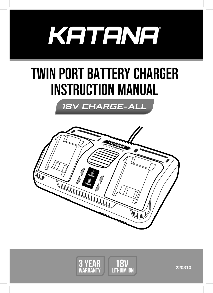

# **TWIN PORT BATTERY CHARGER INSTRUCTION MANUAL**

**IBV CHARGE-ALL** 



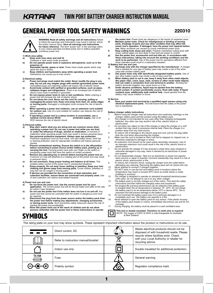## **GENERAL POWER TOOL SAFETY WARNINGS <sup>220310</sup>**



**WARNING Read all safety warnings and all instructions.***Failure to follow the warnings and instructions may result in electric shock,*  fire and/or serious injury. **Save all warnings and instructions**<br>f**or future reference.** The term "power tool" in the warnings refers<br>to your mains-operated (corded) power tool or battery-operated *(cordless) power tool.*

### **1) Work area safety**

- **a) Keep work area clean and well lit**.
- *Cluttered or dark areas invite accidents.* **b) Do not operate power tools in explosive atmospheres, such as in the presence of flammable liquids, gases or dust.** *Power tools create sparks which may ignite the dust or fumes.*
- **c) Keep children and bystanders away while operating a power tool.**
- *Distractions can cause you to lose control.*

- 
- 2) Electrical safety<br>
and Department of the outlet. Never modify the plug in any<br>
any Do not use any adapter plug with earthed (grounded) power tools.<br>
Unmodified plugs and matching outlets will reduce risk of electric sh *shock if your body is earthed or grounded.*
- **c) Do not expose power tools to rain or wet conditions.** *Water entering a power tool will increase the risk of electric shock.*
- **d) Do not abuse the cord. Never use the cord for carrying, pulling or unplugging the power tool. Keep cord away from heat, oil, sharp edges or moving parts.** *Damaged or entangled cords increase the risk of electric*
- *shock.* **e) When operating a power tool outdoors, use an extension cord suitable for outdoor use.** *Use of a cord suitable for outdoor use reduces the risk of electric shock.*
- **f) If operating a power tool in a damp location is unavoidable, use a residual current device (RCD) protected supply.** *Use of an RCD reduces the risk of electric shock.*

### **3) Personal safety**

- **a) Stay alert, watch what you are doing and use common sense when**  operating a power tool. Do not use a power tool while you are tired<br>or under the influence of drugs, alcohol or medication. *A moment of*<br>i*nattention while operating power tools may result in serious personal injury.*
- b) Use personal protective equipment. Always wear eye protection.<br>Protective equipment such as dust mask, non-skid safety shoes, hard hat,<br>or hearing protection used for appropriate conditions will reduce personal
- *injuries.* **c) Prevent unintentional starting. Ensure the switch is in the off-position**  before connecting to power source and/or battery pack, picking up or<br>carrying the tool. Carrying power tools with your finger on the switch or<br>energising power tools that have the switch on invites accidents.<br>d) Remove any
- 
- 
- in personal injury.<br> **Do not overreach. Keep proper footing and balance at all times.** This<br>
enables better control of the power tool in unexpected stituations.<br> **Theres properly. Do not wear loose clothing or jewellery. K**
- g) If devices are provided for the connection of dust extraction and<br>collection facilities, ensure these are connected and properly used. Use<br>of dust collection can reduce dust-related hazards.

- 4) Power tool use and care<br>
Do not force the power tool. Use the correct power tool for your<br>
application. The correct power tool will do the job better and safer at the rate<br>
for which it was designed.
- **b) Do not use the power tool if the switch does not turn it on and off.** *Any power tool that cannot be controlled with the switch is dangerous and must be repaired.*
- **c) Disconnect the plug from the power source and/or the battery pack from the power tool before making any adjustments, changing accessories, or storing power tools.** *Such preventive safety measures reduce the risk of starting the power tool accidentally.*
- **d) Store idle power tools out of the reach of children and do not allow persons unfamiliar with the power tool or these instructions to operate**
- **SYMBOLS**
- the power tool. Power tools are dangerous in the hands of untrained users.<br>Maintain power tools. Check for misalignment or binding of moving<br>parts, breakage of parts and any other condition that may affect the<br>power tool's
- use. Many accidents are caused by poorly maintained power tools.<br>f) Keep cutting tools sharp and clean. Properly maintained cutting tools with<br>sharp cutting edges are less likely to bind and are easier to control.
- **g) Use the power tool, accessories and tool bits etc. in accordance with these instructions, taking into account the working conditions and the work to be performed.** *Use of the power tool for operations different from those intended could result in a hazardous situation.*

- **5) Battery tool use and care a) Recharge only with the charger specified by the manufacturer**. *A charger that is suitable for one type of battery pack may create a risk of fire when*
- used with another battery pack.<br>Use power tools only with specifically designated battery packs. Use of
- b) Use power tools only with specifically designated battery packs. Use of any other battery packs may create a risk of injury and fire.<br>C) When battery pack is not in use, keep it away from other metal objects, like paper *battery terminals together may cause burns or a fire.*
- d) Under abusive conditions, liquid may be ejected from the battery;<br>avoid contact. If contact accidentally occurs, flush with water. If liquid<br>contacts eyes, additionally seek medical help. Liquid ejected from the<br>battery

6) Service<br>a) Have your power tool serviced by a qualified repair person using only<br>identical replacement parts. This will ensure that the safety of the power<br>tool is maintained.

- **Battery charger safety instructions** *1. Before using the charger read all instructions and cautionary markings on the*
- charger, battery pack and the product using the battery pack.<br>2. This charger is not intended for any uses other than charging rechargeable<br>batteries. Any other use may result in risk of fire, electric shock or
- *electrocution. 3. Do not place any object on top of the charger or place the charger on a soft surface that may result in excessive internal heat. Place the charger in a position away from any heat source.*
- *4. To reduce risk of damage to the electric plug and cord, pull by the plug rather than the cord when disconnecting the charger.*
- *5. Make sure the cord is located so that it will not be stepped on, tripped over, or*
- *otherwise subjected to damage or stress. 6. An extension cord should not be used unless absolutely necessary. Use of an improper extension cord could result in the risk of fire, electric shock or electrocution.*
- *7. Do not operate the charger if it has received a sharp blow, been dropped or otherwise damaged in any way. Have it checked by an electrician or power tool repairer.*
- 8. Do not disassemble charger. Take it to an electrician or power tool repairer<br>when service or repair is required. Incorrect reassembly may result in a risk of<br>electric shock, electrocution or fire.
- *9. To reduce risk of electric shock, unplug the charger from the outlet before attempting any cleaning. Removing the battery pack will not reduce this risk.*
- 
- *10. Never attempt to connect 2 chargers together. 11. DO NOT store or use the tool and battery pack in locations where the temperature may reach or exceed 40ºC (such as inside sheds or metal*
- buildings in summer).<br>12. The charger is designed to operate on standard household electrical power<br> (240 volts). Do not attempt to use it on any other voltage!<br>13. The battery pack is not fully charged out of th
- 
- *instructions and then follow the charging notes and procedures. 14. The longest life and best performance can be obtained if the battery pack is charged when the air temperature is between 18 - 24ºC. Do not charge the battery pack in an air temperature below 10ºC or above 40ºC. This is important and will prevent damage to the battery pack.*
- 15. Do not incinerate the battery pack even if it is seriously damaged or is<br>completely wom out. The battery can explode in a fire.<br>16. Never attempt to open the battery pack for any reason. If the plastic housing
- *of the battery pack breaks or cracks, immediately discontinue use and do not*
- *recharge. 17. During charging, the battery must be placed in a well ventilated area.*
	- **This tool is double insulated. Therefore no earth wire is required.**  *NOTE: The supply of 230Vr & 240Vr is interchangeable for Australia & New Zealand*

The rating plate on your tool may show symbols. These represent important information about the product or instructions on its use. Direct current, DC  $\bigcup_{n=1}^{\infty}$  Waste electrical products should not be disposed of with household waste. Please  $\blacksquare$ п ä  $\mathbf{r}$ recycle where facilities exist. Check Refer to instruction manual/booklet with your Local Authority or retailer for<br>recvcling advice. Indoor use only **Double insulated for additional protection. T3.15A** Fuse  $\vert$  /  $\vert$  General warning Polarity symbol **Regulator Compliance mark** € -Œ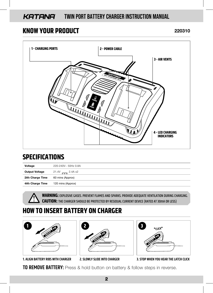# **KNOW YOUR PRODUCT**

**220310**



# **SPECIFICATIONS**

| Voltage               | 220-240V~ 50Hz 0.8A  |
|-----------------------|----------------------|
| <b>Output Voltage</b> | 21.4V 2.4A x2<br>--- |
| 2Ah Charge Time       | 60 mins (Approx)     |
| 4Ah Charge Time       | 120 mins (Approx)    |
|                       |                      |

**WARNING:** EXPLOSIVE GASES. PREVENT FLAMES AND SPARKS. PROVIDE ADEQUATE VENTILATION DURING CHARGING. **CAUTION:** THE CHARGER SHOULD BE PROTECTED BY RESIDUAL CURRENT DEVICE (RATED AT 30mA OR LESS)

# **HOW TO INSERT BATTERY ON CHARGER**







**1. ALIGN BATTERY RIBS WITH CHARGER 2. SLOWLY SLIDE INTO CHARGER 3. STOP WHEN YOU HEAR THE LATCH CLICK**

**TO REMOVE BATTERY:** Press & hold button on battery & follow steps in reverse.